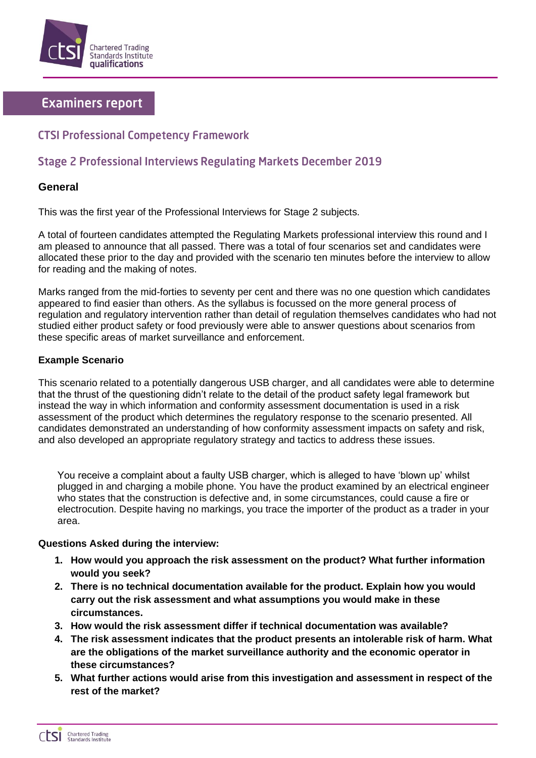

# **Examiners report**

## **CTSI Professional Competency Framework**

# **Stage 2 Professional Interviews Regulating Markets December 2019**

### **General**

This was the first year of the Professional Interviews for Stage 2 subjects.

A total of fourteen candidates attempted the Regulating Markets professional interview this round and I am pleased to announce that all passed. There was a total of four scenarios set and candidates were allocated these prior to the day and provided with the scenario ten minutes before the interview to allow for reading and the making of notes.

Marks ranged from the mid-forties to seventy per cent and there was no one question which candidates appeared to find easier than others. As the syllabus is focussed on the more general process of regulation and regulatory intervention rather than detail of regulation themselves candidates who had not studied either product safety or food previously were able to answer questions about scenarios from these specific areas of market surveillance and enforcement.

#### **Example Scenario**

This scenario related to a potentially dangerous USB charger, and all candidates were able to determine that the thrust of the questioning didn't relate to the detail of the product safety legal framework but instead the way in which information and conformity assessment documentation is used in a risk assessment of the product which determines the regulatory response to the scenario presented. All candidates demonstrated an understanding of how conformity assessment impacts on safety and risk, and also developed an appropriate regulatory strategy and tactics to address these issues.

You receive a complaint about a faulty USB charger, which is alleged to have 'blown up' whilst plugged in and charging a mobile phone. You have the product examined by an electrical engineer who states that the construction is defective and, in some circumstances, could cause a fire or electrocution. Despite having no markings, you trace the importer of the product as a trader in your area.

#### **Questions Asked during the interview:**

- **1. How would you approach the risk assessment on the product? What further information would you seek?**
- **2. There is no technical documentation available for the product. Explain how you would carry out the risk assessment and what assumptions you would make in these circumstances.**
- **3. How would the risk assessment differ if technical documentation was available?**
- **4. The risk assessment indicates that the product presents an intolerable risk of harm. What are the obligations of the market surveillance authority and the economic operator in these circumstances?**
- **5. What further actions would arise from this investigation and assessment in respect of the rest of the market?**